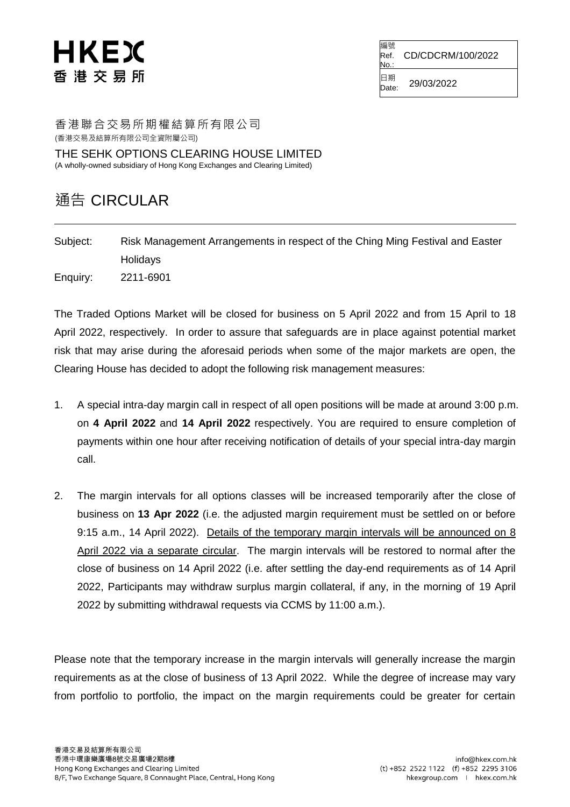## HKEX 香港交易所

編號 Ref. No. CD/CDCRM/100/2022

日期  $\overline{D}_{\text{late}}}^{1.4\text{ m}}$  29/03/2022

香港聯合交易所期權結算所有限公司 (香港交易及結算所有限公司全資附屬公司)

THE SEHK OPTIONS CLEARING HOUSE LIMITED (A wholly-owned subsidiary of Hong Kong Exchanges and Clearing Limited)

## 通告 CIRCULAR

Subject: Risk Management Arrangements in respect of the Ching Ming Festival and Easter **Holidays** Enquiry: 2211-6901

The Traded Options Market will be closed for business on 5 April 2022 and from 15 April to 18 April 2022, respectively. In order to assure that safeguards are in place against potential market risk that may arise during the aforesaid periods when some of the major markets are open, the Clearing House has decided to adopt the following risk management measures:

- 1. A special intra-day margin call in respect of all open positions will be made at around 3:00 p.m. on **4 April 2022** and **14 April 2022** respectively. You are required to ensure completion of payments within one hour after receiving notification of details of your special intra-day margin call.
- 2. The margin intervals for all options classes will be increased temporarily after the close of business on **13 Apr 2022** (i.e. the adjusted margin requirement must be settled on or before 9:15 a.m., 14 April 2022). Details of the temporary margin intervals will be announced on 8 April 2022 via a separate circular. The margin intervals will be restored to normal after the close of business on 14 April 2022 (i.e. after settling the day-end requirements as of 14 April 2022, Participants may withdraw surplus margin collateral, if any, in the morning of 19 April 2022 by submitting withdrawal requests via CCMS by 11:00 a.m.).

Please note that the temporary increase in the margin intervals will generally increase the margin requirements as at the close of business of 13 April 2022. While the degree of increase may vary from portfolio to portfolio, the impact on the margin requirements could be greater for certain